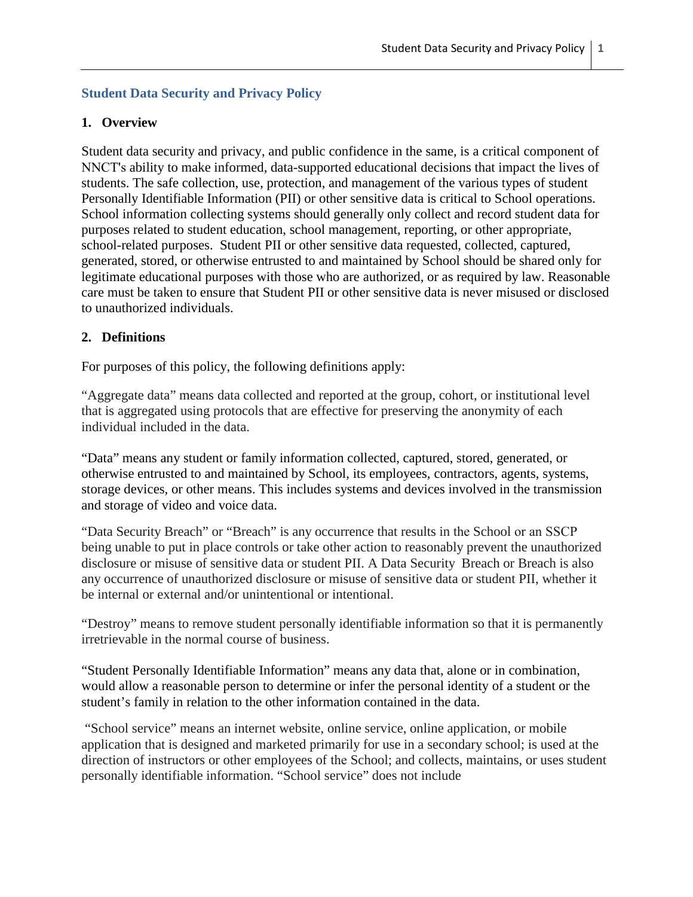# **Student Data Security and Privacy Policy**

## **1. Overview**

Student data security and privacy, and public confidence in the same, is a critical component of NNCT's ability to make informed, data-supported educational decisions that impact the lives of students. The safe collection, use, protection, and management of the various types of student Personally Identifiable Information (PII) or other sensitive data is critical to School operations. School information collecting systems should generally only collect and record student data for purposes related to student education, school management, reporting, or other appropriate, school-related purposes. Student PII or other sensitive data requested, collected, captured, generated, stored, or otherwise entrusted to and maintained by School should be shared only for legitimate educational purposes with those who are authorized, or as required by law. Reasonable care must be taken to ensure that Student PII or other sensitive data is never misused or disclosed to unauthorized individuals.

## **2. Definitions**

For purposes of this policy, the following definitions apply:

"Aggregate data" means data collected and reported at the group, cohort, or institutional level that is aggregated using protocols that are effective for preserving the anonymity of each individual included in the data.

"Data" means any student or family information collected, captured, stored, generated, or otherwise entrusted to and maintained by School, its employees, contractors, agents, systems, storage devices, or other means. This includes systems and devices involved in the transmission and storage of video and voice data.

"Data Security Breach" or "Breach" is any occurrence that results in the School or an SSCP being unable to put in place controls or take other action to reasonably prevent the unauthorized disclosure or misuse of sensitive data or student PII. A Data Security Breach or Breach is also any occurrence of unauthorized disclosure or misuse of sensitive data or student PII, whether it be internal or external and/or unintentional or intentional.

"Destroy" means to remove student personally identifiable information so that it is permanently irretrievable in the normal course of business.

"Student Personally Identifiable Information" means any data that, alone or in combination, would allow a reasonable person to determine or infer the personal identity of a student or the student's family in relation to the other information contained in the data.

 "School service" means an internet website, online service, online application, or mobile application that is designed and marketed primarily for use in a secondary school; is used at the direction of instructors or other employees of the School; and collects, maintains, or uses student personally identifiable information. "School service" does not include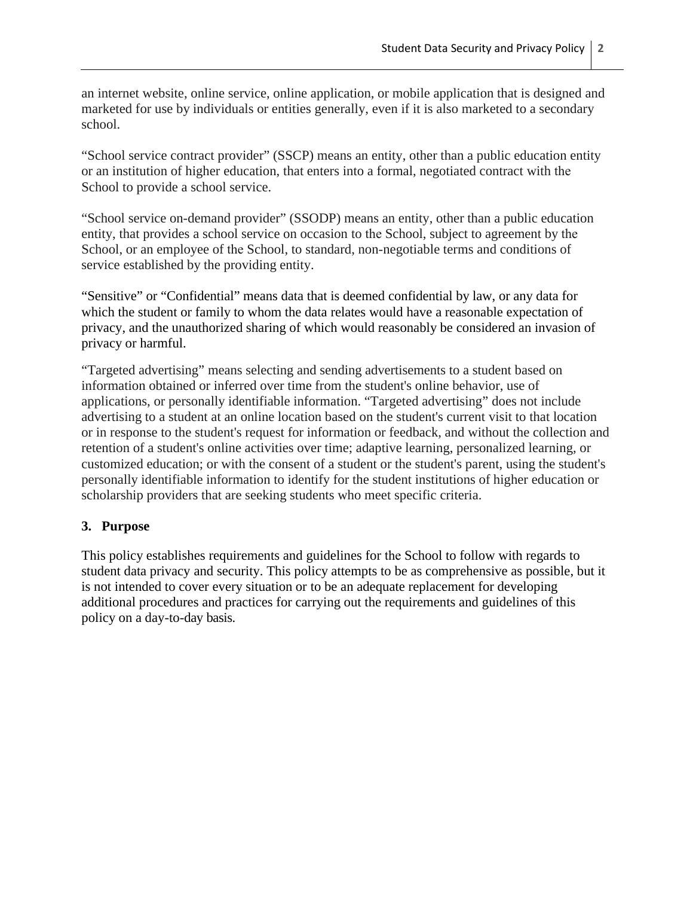an internet website, online service, online application, or mobile application that is designed and marketed for use by individuals or entities generally, even if it is also marketed to a secondary school.

"School service contract provider" (SSCP) means an entity, other than a public education entity or an institution of higher education, that enters into a formal, negotiated contract with the School to provide a school service.

"School service on-demand provider" (SSODP) means an entity, other than a public education entity, that provides a school service on occasion to the School, subject to agreement by the School, or an employee of the School, to standard, non-negotiable terms and conditions of service established by the providing entity.

"Sensitive" or "Confidential" means data that is deemed confidential by law, or any data for which the student or family to whom the data relates would have a reasonable expectation of privacy, and the unauthorized sharing of which would reasonably be considered an invasion of privacy or harmful.

"Targeted advertising" means selecting and sending advertisements to a student based on information obtained or inferred over time from the student's online behavior, use of applications, or personally identifiable information. "Targeted advertising" does not include advertising to a student at an online location based on the student's current visit to that location or in response to the student's request for information or feedback, and without the collection and retention of a student's online activities over time; adaptive learning, personalized learning, or customized education; or with the consent of a student or the student's parent, using the student's personally identifiable information to identify for the student institutions of higher education or scholarship providers that are seeking students who meet specific criteria.

### **3. Purpose**

This policy establishes requirements and guidelines for the School to follow with regards to student data privacy and security. This policy attempts to be as comprehensive as possible, but it is not intended to cover every situation or to be an adequate replacement for developing additional procedures and practices for carrying out the requirements and guidelines of this policy on a day-to-day basis.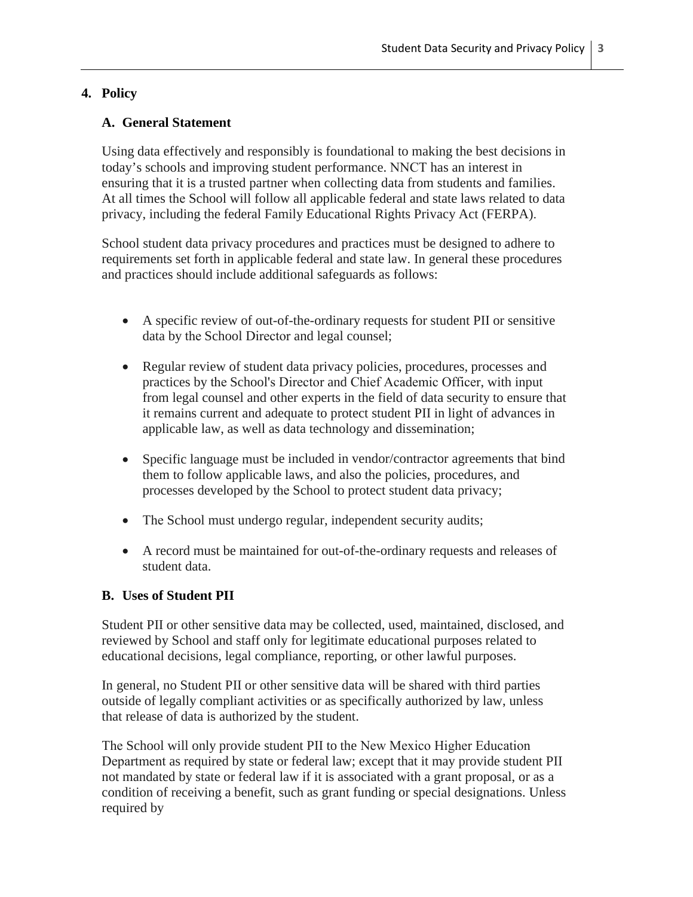# **4. Policy**

# **A. General Statement**

Using data effectively and responsibly is foundational to making the best decisions in today's schools and improving student performance. NNCT has an interest in ensuring that it is a trusted partner when collecting data from students and families. At all times the School will follow all applicable federal and state laws related to data privacy, including the federal Family Educational Rights Privacy Act (FERPA).

School student data privacy procedures and practices must be designed to adhere to requirements set forth in applicable federal and state law. In general these procedures and practices should include additional safeguards as follows:

- A specific review of out-of-the-ordinary requests for student PII or sensitive data by the School Director and legal counsel;
- Regular review of student data privacy policies, procedures, processes and practices by the School's Director and Chief Academic Officer, with input from legal counsel and other experts in the field of data security to ensure that it remains current and adequate to protect student PII in light of advances in applicable law, as well as data technology and dissemination;
- Specific language must be included in vendor/contractor agreements that bind them to follow applicable laws, and also the policies, procedures, and processes developed by the School to protect student data privacy;
- The School must undergo regular, independent security audits;
- A record must be maintained for out-of-the-ordinary requests and releases of student data.

# **B. Uses of Student PII**

Student PII or other sensitive data may be collected, used, maintained, disclosed, and reviewed by School and staff only for legitimate educational purposes related to educational decisions, legal compliance, reporting, or other lawful purposes.

In general, no Student PII or other sensitive data will be shared with third parties outside of legally compliant activities or as specifically authorized by law, unless that release of data is authorized by the student.

The School will only provide student PII to the New Mexico Higher Education Department as required by state or federal law; except that it may provide student PII not mandated by state or federal law if it is associated with a grant proposal, or as a condition of receiving a benefit, such as grant funding or special designations. Unless required by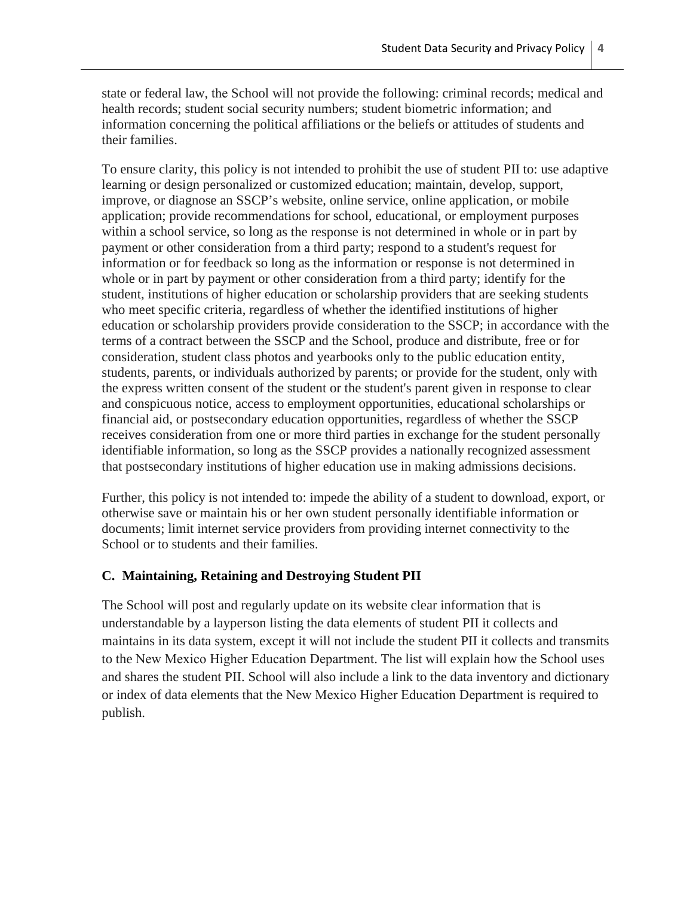state or federal law, the School will not provide the following: criminal records; medical and health records; student social security numbers; student biometric information; and information concerning the political affiliations or the beliefs or attitudes of students and their families.

To ensure clarity, this policy is not intended to prohibit the use of student PII to: use adaptive learning or design personalized or customized education; maintain, develop, support, improve, or diagnose an SSCP's website, online service, online application, or mobile application; provide recommendations for school, educational, or employment purposes within a school service, so long as the response is not determined in whole or in part by payment or other consideration from a third party; respond to a student's request for information or for feedback so long as the information or response is not determined in whole or in part by payment or other consideration from a third party; identify for the student, institutions of higher education or scholarship providers that are seeking students who meet specific criteria, regardless of whether the identified institutions of higher education or scholarship providers provide consideration to the SSCP; in accordance with the terms of a contract between the SSCP and the School, produce and distribute, free or for consideration, student class photos and yearbooks only to the public education entity, students, parents, or individuals authorized by parents; or provide for the student, only with the express written consent of the student or the student's parent given in response to clear and conspicuous notice, access to employment opportunities, educational scholarships or financial aid, or postsecondary education opportunities, regardless of whether the SSCP receives consideration from one or more third parties in exchange for the student personally identifiable information, so long as the SSCP provides a nationally recognized assessment that postsecondary institutions of higher education use in making admissions decisions.

Further, this policy is not intended to: impede the ability of a student to download, export, or otherwise save or maintain his or her own student personally identifiable information or documents; limit internet service providers from providing internet connectivity to the School or to students and their families.

### **C. Maintaining, Retaining and Destroying Student PII**

The School will post and regularly update on its website clear information that is understandable by a layperson listing the data elements of student PII it collects and maintains in its data system, except it will not include the student PII it collects and transmits to the New Mexico Higher Education Department. The list will explain how the School uses and shares the student PII. School will also include a link to the data inventory and dictionary or index of data elements that the New Mexico Higher Education Department is required to publish.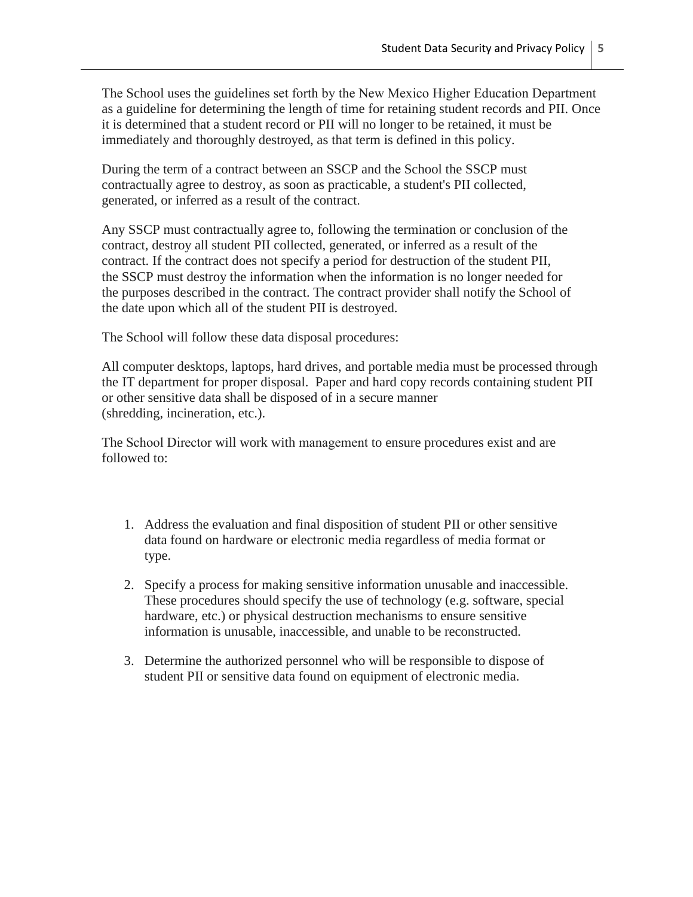The School uses the guidelines set forth by the New Mexico Higher Education Department as a guideline for determining the length of time for retaining student records and PII. Once it is determined that a student record or PII will no longer to be retained, it must be immediately and thoroughly destroyed, as that term is defined in this policy.

During the term of a contract between an SSCP and the School the SSCP must contractually agree to destroy, as soon as practicable, a student's PII collected, generated, or inferred as a result of the contract.

Any SSCP must contractually agree to, following the termination or conclusion of the contract, destroy all student PII collected, generated, or inferred as a result of the contract. If the contract does not specify a period for destruction of the student PII, the SSCP must destroy the information when the information is no longer needed for the purposes described in the contract. The contract provider shall notify the School of the date upon which all of the student PII is destroyed.

The School will follow these data disposal procedures:

All computer desktops, laptops, hard drives, and portable media must be processed through the IT department for proper disposal. Paper and hard copy records containing student PII or other sensitive data shall be disposed of in a secure manner (shredding, incineration, etc.).

The School Director will work with management to ensure procedures exist and are followed to:

- 1. Address the evaluation and final disposition of student PII or other sensitive data found on hardware or electronic media regardless of media format or type.
- 2. Specify a process for making sensitive information unusable and inaccessible. These procedures should specify the use of technology (e.g. software, special hardware, etc.) or physical destruction mechanisms to ensure sensitive information is unusable, inaccessible, and unable to be reconstructed.
- 3. Determine the authorized personnel who will be responsible to dispose of student PII or sensitive data found on equipment of electronic media.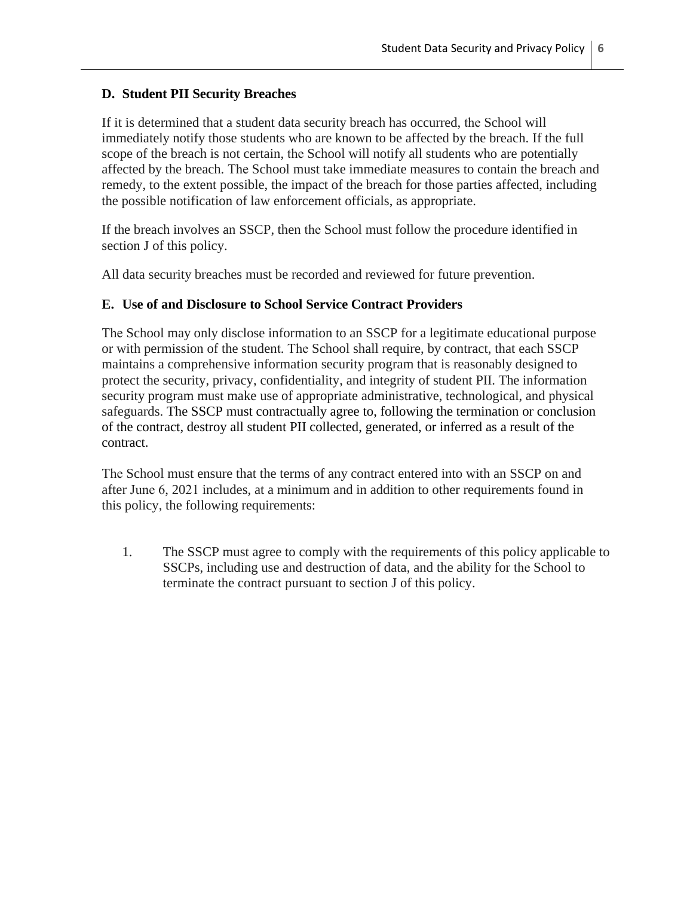# **D. Student PII Security Breaches**

If it is determined that a student data security breach has occurred, the School will immediately notify those students who are known to be affected by the breach. If the full scope of the breach is not certain, the School will notify all students who are potentially affected by the breach. The School must take immediate measures to contain the breach and remedy, to the extent possible, the impact of the breach for those parties affected, including the possible notification of law enforcement officials, as appropriate.

If the breach involves an SSCP, then the School must follow the procedure identified in section J of this policy.

All data security breaches must be recorded and reviewed for future prevention.

# **E. Use of and Disclosure to School Service Contract Providers**

The School may only disclose information to an SSCP for a legitimate educational purpose or with permission of the student. The School shall require, by contract, that each SSCP maintains a comprehensive information security program that is reasonably designed to protect the security, privacy, confidentiality, and integrity of student PII. The information security program must make use of appropriate administrative, technological, and physical safeguards. The SSCP must contractually agree to, following the termination or conclusion of the contract, destroy all student PII collected, generated, or inferred as a result of the contract.

The School must ensure that the terms of any contract entered into with an SSCP on and after June 6, 2021 includes, at a minimum and in addition to other requirements found in this policy, the following requirements:

1. The SSCP must agree to comply with the requirements of this policy applicable to SSCPs, including use and destruction of data, and the ability for the School to terminate the contract pursuant to section J of this policy.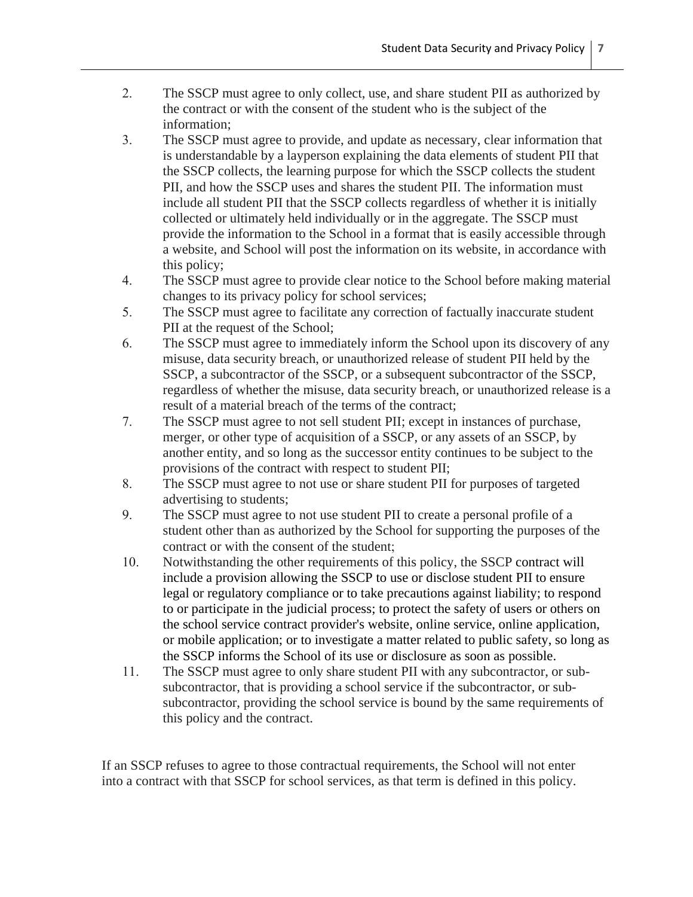- 2. The SSCP must agree to only collect, use, and share student PII as authorized by the contract or with the consent of the student who is the subject of the information;
- 3. The SSCP must agree to provide, and update as necessary, clear information that is understandable by a layperson explaining the data elements of student PII that the SSCP collects, the learning purpose for which the SSCP collects the student PII, and how the SSCP uses and shares the student PII. The information must include all student PII that the SSCP collects regardless of whether it is initially collected or ultimately held individually or in the aggregate. The SSCP must provide the information to the School in a format that is easily accessible through a website, and School will post the information on its website, in accordance with this policy;
- 4. The SSCP must agree to provide clear notice to the School before making material changes to its privacy policy for school services;
- 5. The SSCP must agree to facilitate any correction of factually inaccurate student PII at the request of the School;
- 6. The SSCP must agree to immediately inform the School upon its discovery of any misuse, data security breach, or unauthorized release of student PII held by the SSCP, a subcontractor of the SSCP, or a subsequent subcontractor of the SSCP, regardless of whether the misuse, data security breach, or unauthorized release is a result of a material breach of the terms of the contract;
- 7. The SSCP must agree to not sell student PII; except in instances of purchase, merger, or other type of acquisition of a SSCP, or any assets of an SSCP, by another entity, and so long as the successor entity continues to be subject to the provisions of the contract with respect to student PII;
- 8. The SSCP must agree to not use or share student PII for purposes of targeted advertising to students;
- 9. The SSCP must agree to not use student PII to create a personal profile of a student other than as authorized by the School for supporting the purposes of the contract or with the consent of the student;
- 10. Notwithstanding the other requirements of this policy, the SSCP contract will include a provision allowing the SSCP to use or disclose student PII to ensure legal or regulatory compliance or to take precautions against liability; to respond to or participate in the judicial process; to protect the safety of users or others on the school service contract provider's website, online service, online application, or mobile application; or to investigate a matter related to public safety, so long as the SSCP informs the School of its use or disclosure as soon as possible.
- 11. The SSCP must agree to only share student PII with any subcontractor, or subsubcontractor, that is providing a school service if the subcontractor, or subsubcontractor, providing the school service is bound by the same requirements of this policy and the contract.

If an SSCP refuses to agree to those contractual requirements, the School will not enter into a contract with that SSCP for school services, as that term is defined in this policy.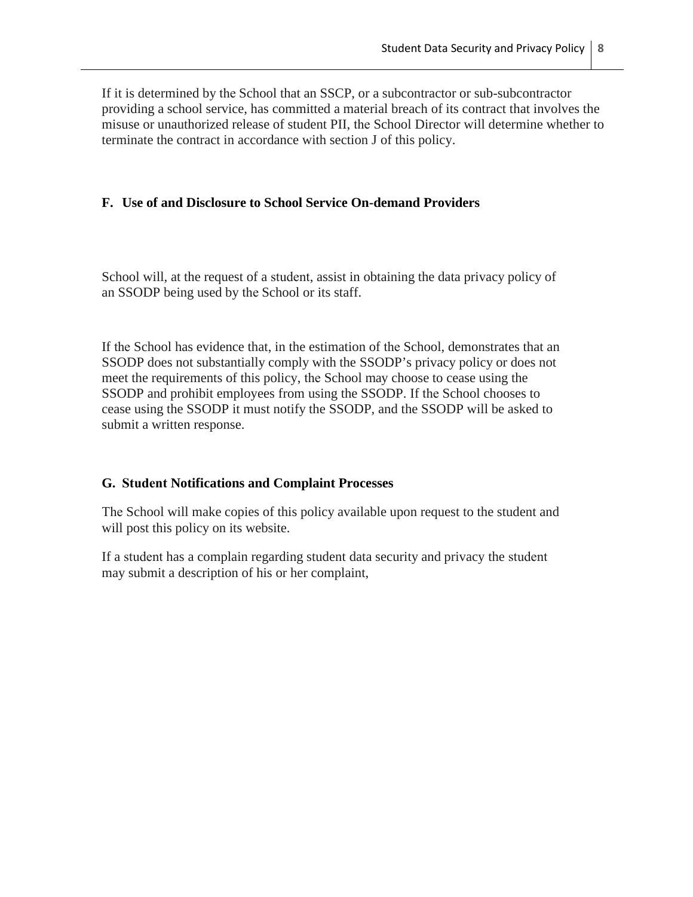If it is determined by the School that an SSCP, or a subcontractor or sub-subcontractor providing a school service, has committed a material breach of its contract that involves the misuse or unauthorized release of student PII, the School Director will determine whether to terminate the contract in accordance with section J of this policy.

## **F. Use of and Disclosure to School Service On-demand Providers**

School will, at the request of a student, assist in obtaining the data privacy policy of an SSODP being used by the School or its staff.

If the School has evidence that, in the estimation of the School, demonstrates that an SSODP does not substantially comply with the SSODP's privacy policy or does not meet the requirements of this policy, the School may choose to cease using the SSODP and prohibit employees from using the SSODP. If the School chooses to cease using the SSODP it must notify the SSODP, and the SSODP will be asked to submit a written response.

### **G. Student Notifications and Complaint Processes**

The School will make copies of this policy available upon request to the student and will post this policy on its website.

If a student has a complain regarding student data security and privacy the student may submit a description of his or her complaint,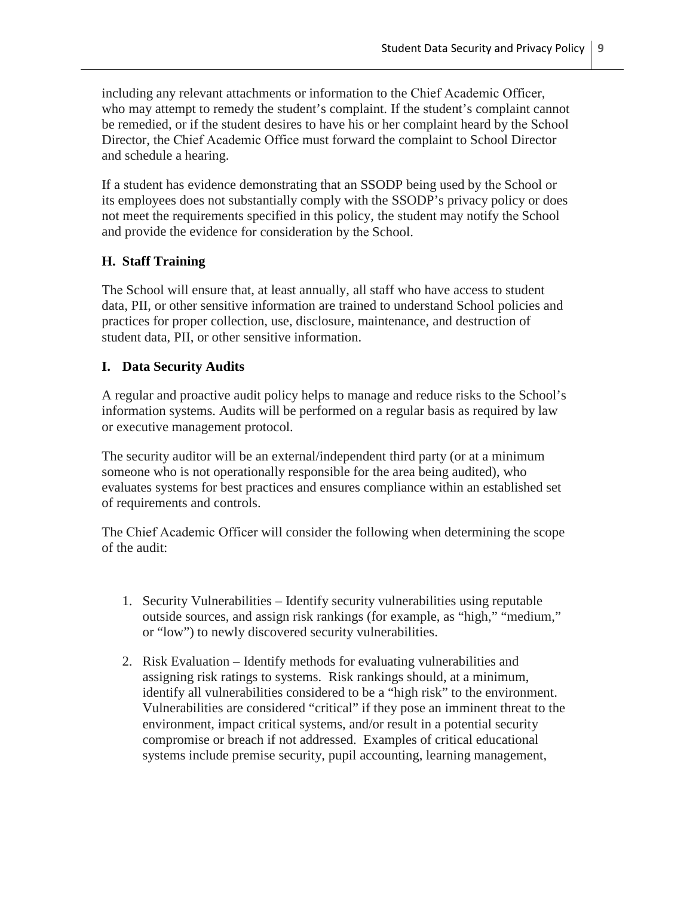including any relevant attachments or information to the Chief Academic Officer, who may attempt to remedy the student's complaint. If the student's complaint cannot be remedied, or if the student desires to have his or her complaint heard by the School Director, the Chief Academic Office must forward the complaint to School Director and schedule a hearing.

If a student has evidence demonstrating that an SSODP being used by the School or its employees does not substantially comply with the SSODP's privacy policy or does not meet the requirements specified in this policy, the student may notify the School and provide the evidence for consideration by the School.

## **H. Staff Training**

The School will ensure that, at least annually, all staff who have access to student data, PII, or other sensitive information are trained to understand School policies and practices for proper collection, use, disclosure, maintenance, and destruction of student data, PII, or other sensitive information.

### **I. Data Security Audits**

A regular and proactive audit policy helps to manage and reduce risks to the School's information systems. Audits will be performed on a regular basis as required by law or executive management protocol.

The security auditor will be an external/independent third party (or at a minimum someone who is not operationally responsible for the area being audited), who evaluates systems for best practices and ensures compliance within an established set of requirements and controls.

The Chief Academic Officer will consider the following when determining the scope of the audit:

- 1. Security Vulnerabilities Identify security vulnerabilities using reputable outside sources, and assign risk rankings (for example, as "high," "medium," or "low") to newly discovered security vulnerabilities.
- 2. Risk Evaluation Identify methods for evaluating vulnerabilities and assigning risk ratings to systems. Risk rankings should, at a minimum, identify all vulnerabilities considered to be a "high risk" to the environment. Vulnerabilities are considered "critical" if they pose an imminent threat to the environment, impact critical systems, and/or result in a potential security compromise or breach if not addressed. Examples of critical educational systems include premise security, pupil accounting, learning management,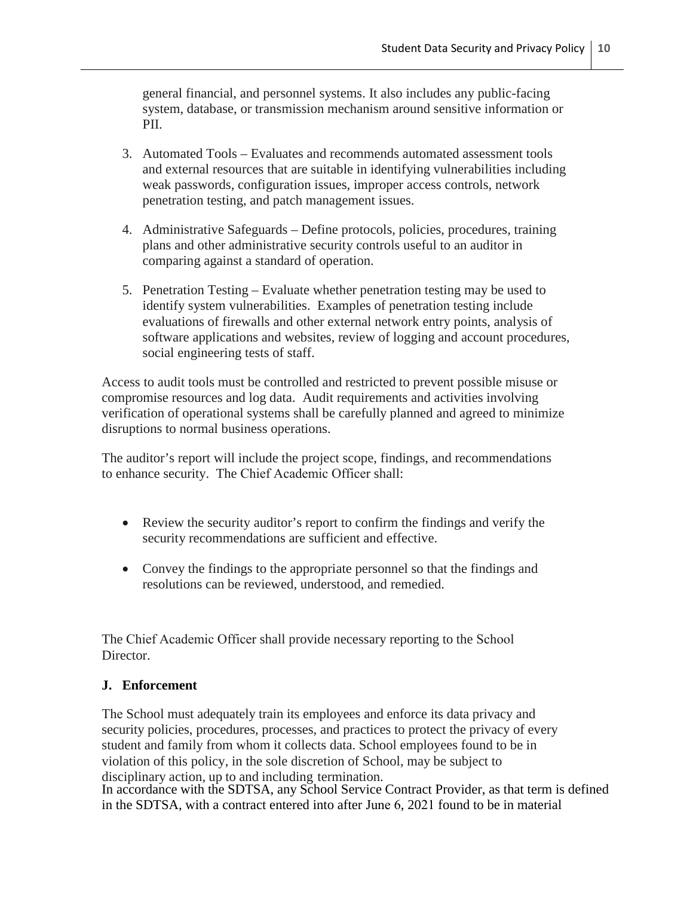general financial, and personnel systems. It also includes any public-facing system, database, or transmission mechanism around sensitive information or PII.

- 3. Automated Tools Evaluates and recommends automated assessment tools and external resources that are suitable in identifying vulnerabilities including weak passwords, configuration issues, improper access controls, network penetration testing, and patch management issues.
- 4. Administrative Safeguards Define protocols, policies, procedures, training plans and other administrative security controls useful to an auditor in comparing against a standard of operation.
- 5. Penetration Testing Evaluate whether penetration testing may be used to identify system vulnerabilities. Examples of penetration testing include evaluations of firewalls and other external network entry points, analysis of software applications and websites, review of logging and account procedures, social engineering tests of staff.

Access to audit tools must be controlled and restricted to prevent possible misuse or compromise resources and log data. Audit requirements and activities involving verification of operational systems shall be carefully planned and agreed to minimize disruptions to normal business operations.

The auditor's report will include the project scope, findings, and recommendations to enhance security. The Chief Academic Officer shall:

- Review the security auditor's report to confirm the findings and verify the security recommendations are sufficient and effective.
- Convey the findings to the appropriate personnel so that the findings and resolutions can be reviewed, understood, and remedied.

The Chief Academic Officer shall provide necessary reporting to the School Director.

### **J. Enforcement**

The School must adequately train its employees and enforce its data privacy and security policies, procedures, processes, and practices to protect the privacy of every student and family from whom it collects data. School employees found to be in violation of this policy, in the sole discretion of School, may be subject to disciplinary action, up to and including termination.

In accordance with the SDTSA, any School Service Contract Provider, as that term is defined in the SDTSA, with a contract entered into after June 6, 2021 found to be in material